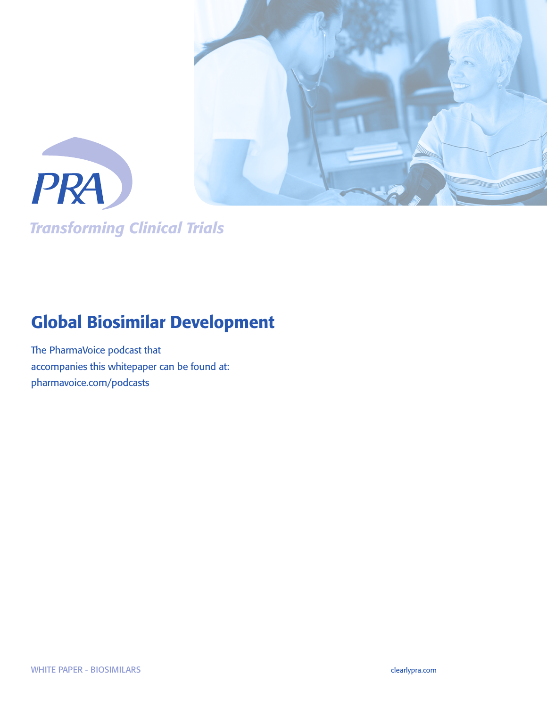

*Transforming Clinical Trials*

# Global Biosimilar Development

The PharmaVoice podcast that accompanies this whitepaper can be found at: pharmavoice.com/podcasts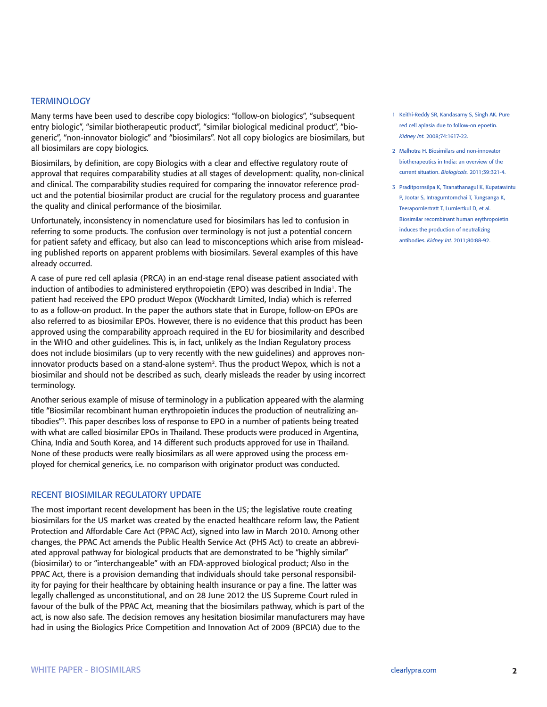### **TERMINOLOGY**

Many terms have been used to describe copy biologics: "follow-on biologics", "subsequent entry biologic", "similar biotherapeutic product", "similar biological medicinal product", "biogeneric", "non-innovator biologic" and "biosimilars". Not all copy biologics are biosimilars, but all biosimilars are copy biologics.

Biosimilars, by definition, are copy Biologics with a clear and effective regulatory route of approval that requires comparability studies at all stages of development: quality, non-clinical and clinical. The comparability studies required for comparing the innovator reference product and the potential biosimilar product are crucial for the regulatory process and guarantee the quality and clinical performance of the biosimilar.

Unfortunately, inconsistency in nomenclature used for biosimilars has led to confusion in referring to some products. The confusion over terminology is not just a potential concern for patient safety and efficacy, but also can lead to misconceptions which arise from misleading published reports on apparent problems with biosimilars. Several examples of this have already occurred.

A case of pure red cell aplasia (PRCA) in an end-stage renal disease patient associated with induction of antibodies to administered erythropoietin (EPO) was described in India<sup>1</sup>. The patient had received the EPO product Wepox (Wockhardt Limited, India) which is referred to as a follow-on product. In the paper the authors state that in Europe, follow-on EPOs are also referred to as biosimilar EPOs. However, there is no evidence that this product has been approved using the comparability approach required in the EU for biosimilarity and described in the WHO and other guidelines. This is, in fact, unlikely as the Indian Regulatory process does not include biosimilars (up to very recently with the new guidelines) and approves noninnovator products based on a stand-alone system<sup>2</sup>. Thus the product Wepox, which is not a biosimilar and should not be described as such, clearly misleads the reader by using incorrect terminology.

Another serious example of misuse of terminology in a publication appeared with the alarming title "Biosimilar recombinant human erythropoietin induces the production of neutralizing antibodies"3. This paper describes loss of response to EPO in a number of patients being treated with what are called biosimilar EPOs in Thailand. These products were produced in Argentina, China, India and South Korea, and 14 different such products approved for use in Thailand. None of these products were really biosimilars as all were approved using the process employed for chemical generics, i.e. no comparison with originator product was conducted.

#### RECENT BIOSIMILAR REGULATORY UPDATE

The most important recent development has been in the US; the legislative route creating biosimilars for the US market was created by the enacted healthcare reform law, the Patient Protection and Affordable Care Act (PPAC Act), signed into law in March 2010. Among other changes, the PPAC Act amends the Public Health Service Act (PHS Act) to create an abbreviated approval pathway for biological products that are demonstrated to be "highly similar" (biosimilar) to or "interchangeable" with an FDA-approved biological product; Also in the PPAC Act, there is a provision demanding that individuals should take personal responsibility for paying for their healthcare by obtaining health insurance or pay a fine. The latter was legally challenged as unconstitutional, and on 28 June 2012 the US Supreme Court ruled in favour of the bulk of the PPAC Act, meaning that the biosimilars pathway, which is part of the act, is now also safe. The decision removes any hesitation biosimilar manufacturers may have had in using the Biologics Price Competition and Innovation Act of 2009 (BPCIA) due to the

- 1 Keithi-Reddy SR, Kandasamy S, Singh AK. Pure red cell aplasia due to follow-on epoetin. *Kidney Int.* 2008;74:1617-22.
- 2 Malhotra H. Biosimilars and non-innovator biotherapeutics in India: an overview of the current situation. *Biologicals.* 2011;39:321-4.
- 3 Praditpornsilpa K, Tiranathanagul K, Kupatawintu P, Jootar S, Intragumtornchai T, Tungsanga K, Teerapornlertratt T, Lumlertkul D, et al. Biosimilar recombinant human erythropoietin induces the production of neutralizing antibodies. *Kidney Int.* 2011;80:88-92.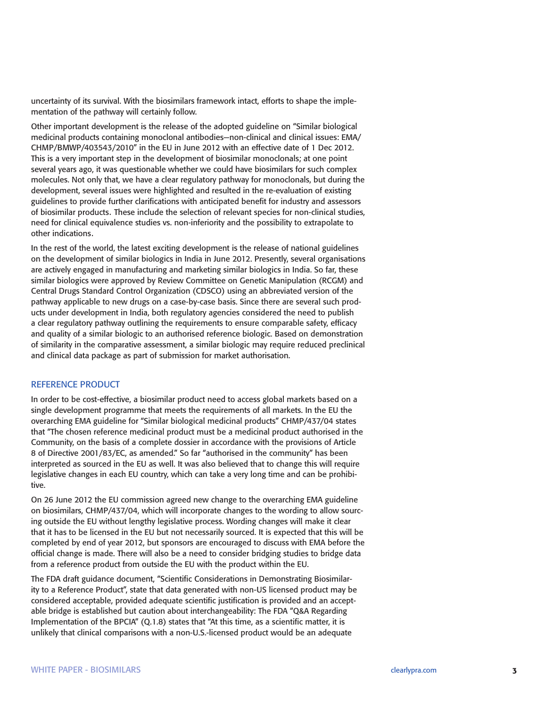uncertainty of its survival. With the biosimilars framework intact, efforts to shape the implementation of the pathway will certainly follow.

Other important development is the release of the adopted guideline on "Similar biological medicinal products containing monoclonal antibodies—non-clinical and clinical issues: EMA/ CHMP/BMWP/403543/2010" in the EU in June 2012 with an effective date of 1 Dec 2012. This is a very important step in the development of biosimilar monoclonals; at one point several years ago, it was questionable whether we could have biosimilars for such complex molecules. Not only that, we have a clear regulatory pathway for monoclonals, but during the development, several issues were highlighted and resulted in the re-evaluation of existing guidelines to provide further clarifications with anticipated benefit for industry and assessors of biosimilar products. These include the selection of relevant species for non-clinical studies, need for clinical equivalence studies vs. non-inferiority and the possibility to extrapolate to other indications.

In the rest of the world, the latest exciting development is the release of national guidelines on the development of similar biologics in India in June 2012. Presently, several organisations are actively engaged in manufacturing and marketing similar biologics in India. So far, these similar biologics were approved by Review Committee on Genetic Manipulation (RCGM) and Central Drugs Standard Control Organization (CDSCO) using an abbreviated version of the pathway applicable to new drugs on a case-by-case basis. Since there are several such products under development in India, both regulatory agencies considered the need to publish a clear regulatory pathway outlining the requirements to ensure comparable safety, efficacy and quality of a similar biologic to an authorised reference biologic. Based on demonstration of similarity in the comparative assessment, a similar biologic may require reduced preclinical and clinical data package as part of submission for market authorisation.

#### REFERENCE PRODUCT

In order to be cost-effective, a biosimilar product need to access global markets based on a single development programme that meets the requirements of all markets. In the EU the overarching EMA guideline for "Similar biological medicinal products" CHMP/437/04 states that "The chosen reference medicinal product must be a medicinal product authorised in the Community, on the basis of a complete dossier in accordance with the provisions of Article 8 of Directive 2001/83/EC, as amended." So far "authorised in the community" has been interpreted as sourced in the EU as well. It was also believed that to change this will require legislative changes in each EU country, which can take a very long time and can be prohibitive.

On 26 June 2012 the EU commission agreed new change to the overarching EMA guideline on biosimilars, CHMP/437/04, which will incorporate changes to the wording to allow sourcing outside the EU without lengthy legislative process. Wording changes will make it clear that it has to be licensed in the EU but not necessarily sourced. It is expected that this will be completed by end of year 2012, but sponsors are encouraged to discuss with EMA before the official change is made. There will also be a need to consider bridging studies to bridge data from a reference product from outside the EU with the product within the EU.

The FDA draft guidance document, "Scientific Considerations in Demonstrating Biosimilarity to a Reference Product", state that data generated with non-US licensed product may be considered acceptable, provided adequate scientific justification is provided and an acceptable bridge is established but caution about interchangeability: The FDA "Q&A Regarding Implementation of the BPCIA" (Q.1.8) states that "At this time, as a scientific matter, it is unlikely that clinical comparisons with a non-U.S.-licensed product would be an adequate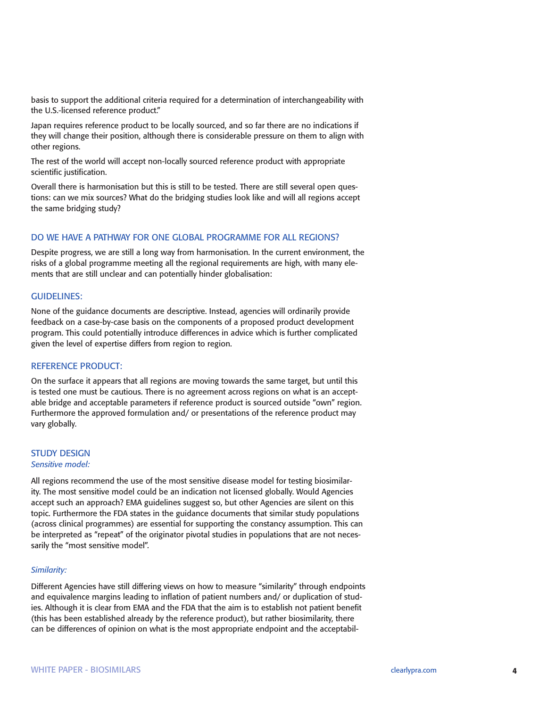basis to support the additional criteria required for a determination of interchangeability with the U.S.-licensed reference product."

Japan requires reference product to be locally sourced, and so far there are no indications if they will change their position, although there is considerable pressure on them to align with other regions.

The rest of the world will accept non-locally sourced reference product with appropriate scientific justification.

Overall there is harmonisation but this is still to be tested. There are still several open questions: can we mix sources? What do the bridging studies look like and will all regions accept the same bridging study?

# DO WE HAVE A PATHWAY FOR ONE GLOBAL PROGRAMME FOR ALL REGIONS?

Despite progress, we are still a long way from harmonisation. In the current environment, the risks of a global programme meeting all the regional requirements are high, with many elements that are still unclear and can potentially hinder globalisation:

#### GUIDELINES:

None of the guidance documents are descriptive. Instead, agencies will ordinarily provide feedback on a case-by-case basis on the components of a proposed product development program. This could potentially introduce differences in advice which is further complicated given the level of expertise differs from region to region.

#### REFERENCE PRODUCT:

On the surface it appears that all regions are moving towards the same target, but until this is tested one must be cautious. There is no agreement across regions on what is an acceptable bridge and acceptable parameters if reference product is sourced outside "own" region. Furthermore the approved formulation and/ or presentations of the reference product may vary globally.

#### STUDY DESIGN *Sensitive model:*

All regions recommend the use of the most sensitive disease model for testing biosimilarity. The most sensitive model could be an indication not licensed globally. Would Agencies accept such an approach? EMA guidelines suggest so, but other Agencies are silent on this topic. Furthermore the FDA states in the guidance documents that similar study populations (across clinical programmes) are essential for supporting the constancy assumption. This can be interpreted as "repeat" of the originator pivotal studies in populations that are not necessarily the "most sensitive model".

#### *Similarity:*

Different Agencies have still differing views on how to measure "similarity" through endpoints and equivalence margins leading to inflation of patient numbers and/ or duplication of studies. Although it is clear from EMA and the FDA that the aim is to establish not patient benefit (this has been established already by the reference product), but rather biosimilarity, there can be differences of opinion on what is the most appropriate endpoint and the acceptabil